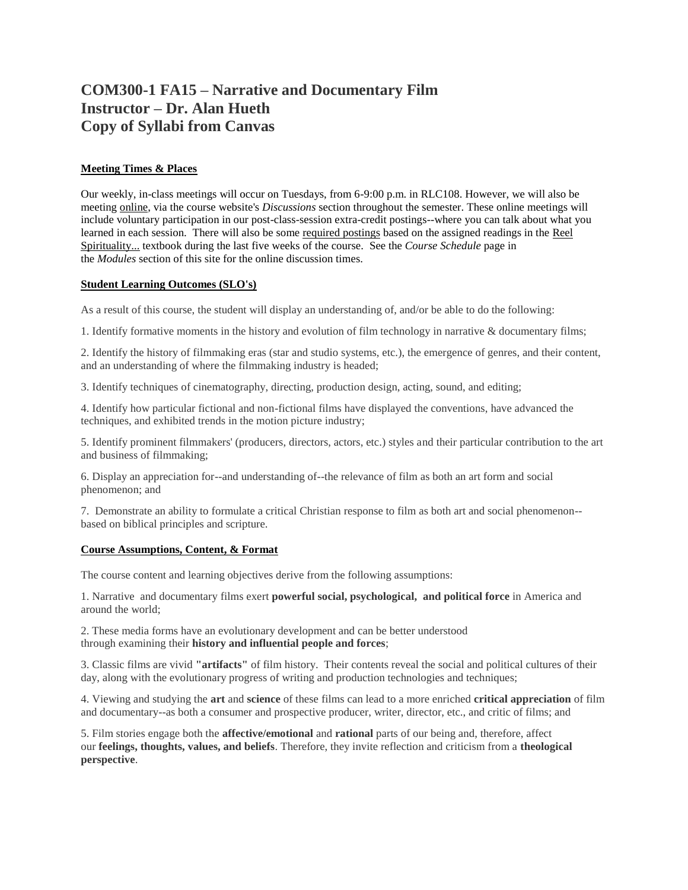# **COM300-1 FA15 – Narrative and Documentary Film Instructor – Dr. Alan Hueth Copy of Syllabi from Canvas**

# **Meeting Times & Places**

Our weekly, in-class meetings will occur on Tuesdays, from 6-9:00 p.m. in RLC108. However, we will also be meeting online, via the course website's *Discussions* section throughout the semester. These online meetings will include voluntary participation in our post-class-session extra-credit postings--where you can talk about what you learned in each session. There will also be some required postings based on the assigned readings in the Reel Spirituality... textbook during the last five weeks of the course. See the *Course Schedule* page in the *Modules* section of this site for the online discussion times.

# **Student Learning Outcomes (SLO's)**

As a result of this course, the student will display an understanding of, and/or be able to do the following:

1. Identify formative moments in the history and evolution of film technology in narrative & documentary films;

2. Identify the history of filmmaking eras (star and studio systems, etc.), the emergence of genres, and their content, and an understanding of where the filmmaking industry is headed;

3. Identify techniques of cinematography, directing, production design, acting, sound, and editing;

4. Identify how particular fictional and non-fictional films have displayed the conventions, have advanced the techniques, and exhibited trends in the motion picture industry;

5. Identify prominent filmmakers' (producers, directors, actors, etc.) styles and their particular contribution to the art and business of filmmaking;

6. Display an appreciation for--and understanding of--the relevance of film as both an art form and social phenomenon; and

7. Demonstrate an ability to formulate a critical Christian response to film as both art and social phenomenon- based on biblical principles and scripture.

# **Course Assumptions, Content, & Format**

The course content and learning objectives derive from the following assumptions:

1. Narrative and documentary films exert **powerful social, psychological, and political force** in America and around the world;

2. These media forms have an evolutionary development and can be better understood through examining their **history and influential people and forces**;

3. Classic films are vivid **"artifacts"** of film history. Their contents reveal the social and political cultures of their day, along with the evolutionary progress of writing and production technologies and techniques;

4. Viewing and studying the **art** and **science** of these films can lead to a more enriched **critical appreciation** of film and documentary--as both a consumer and prospective producer, writer, director, etc., and critic of films; and

5. Film stories engage both the **affective/emotional** and **rational** parts of our being and, therefore, affect our **feelings, thoughts, values, and beliefs**. Therefore, they invite reflection and criticism from a **theological perspective**.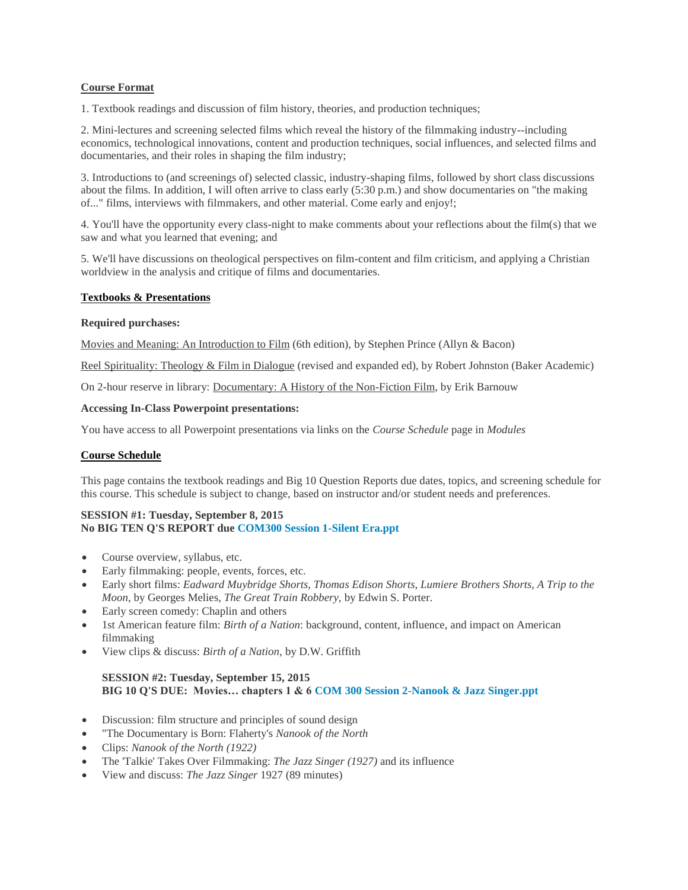# **Course Format**

1. Textbook readings and discussion of film history, theories, and production techniques;

2. Mini-lectures and screening selected films which reveal the history of the filmmaking industry--including economics, technological innovations, content and production techniques, social influences, and selected films and documentaries, and their roles in shaping the film industry;

3. Introductions to (and screenings of) selected classic, industry-shaping films, followed by short class discussions about the films. In addition, I will often arrive to class early (5:30 p.m.) and show documentaries on "the making of..." films, interviews with filmmakers, and other material. Come early and enjoy!;

4. You'll have the opportunity every class-night to make comments about your reflections about the film(s) that we saw and what you learned that evening; and

5. We'll have discussions on theological perspectives on film-content and film criticism, and applying a Christian worldview in the analysis and critique of films and documentaries.

#### **Textbooks & Presentations**

#### **Required purchases:**

Movies and Meaning: An Introduction to Film (6th edition), by Stephen Prince (Allyn & Bacon)

Reel Spirituality: Theology & Film in Dialogue (revised and expanded ed), by Robert Johnston (Baker Academic)

On 2-hour reserve in library: Documentary: A History of the Non-Fiction Film, by Erik Barnouw

#### **Accessing In-Class Powerpoint presentations:**

You have access to all Powerpoint presentations via links on the *Course Schedule* page in *Modules*

# **Course Schedule**

This page contains the textbook readings and Big 10 Question Reports due dates, topics, and screening schedule for this course. This schedule is subject to change, based on instructor and/or student needs and preferences.

#### **SESSION #1: Tuesday, September 8, 2015 No BIG TEN Q'S REPORT due [COM300 Session 1-Silent Era.ppt](https://canvas.pointloma.edu/courses/25277/files/530131/download?wrap=1)**

- Course overview, syllabus, etc.
- Early filmmaking: people, events, forces, etc.
- Early short films: *Eadward Muybridge Shorts, Thomas Edison Shorts, Lumiere Brothers Shorts, A Trip to the Moon,* by Georges Melies*, The Great Train Robbery,* by Edwin S. Porter.
- Early screen comedy: Chaplin and others
- 1st American feature film: *Birth of a Nation*: background, content, influence, and impact on American filmmaking
- View clips & discuss: *Birth of a Nation,* by D.W. Griffith

# **SESSION #2: Tuesday, September 15, 2015 BIG 10 Q'S DUE: Movies… chapters 1 & 6 [COM 300 Session 2-Nanook & Jazz Singer.ppt](https://canvas.pointloma.edu/courses/25277/files/530123/download?wrap=1)**

- Discussion: film structure and principles of sound design
- "The Documentary is Born: Flaherty's *Nanook of the North*
- Clips: *Nanook of the North (1922)*
- The 'Talkie' Takes Over Filmmaking: *The Jazz Singer (1927)* and its influence
- View and discuss: *The Jazz Singer* 1927 (89 minutes)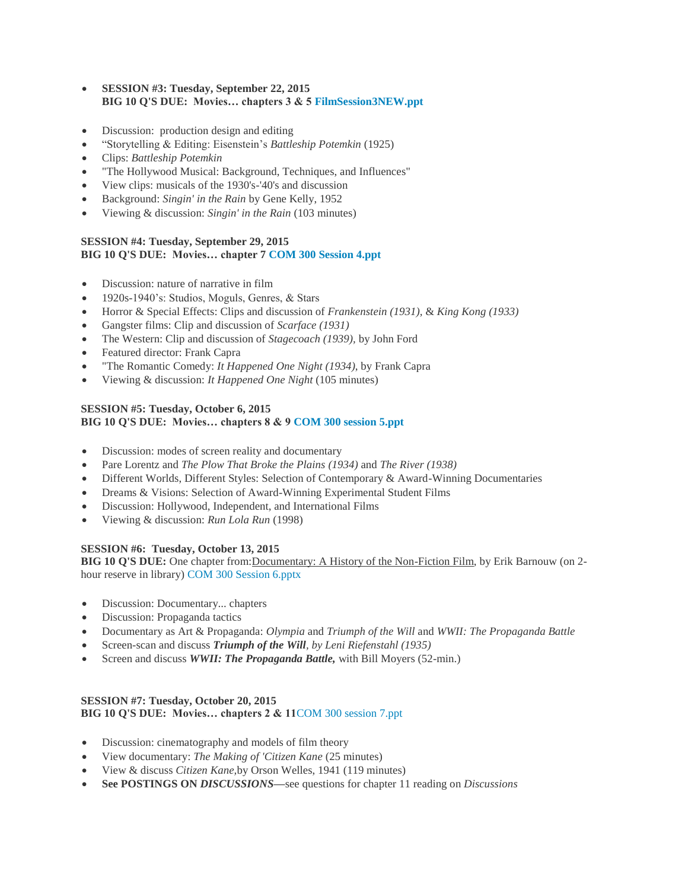- **SESSION #3: Tuesday, September 22, 2015 BIG 10 Q'S DUE: Movies… chapters 3 & 5 [FilmSession3NEW.ppt](https://canvas.pointloma.edu/courses/25277/files/530132/download?wrap=1)**
- Discussion: production design and editing
- "Storytelling & Editing: Eisenstein's *Battleship Potemkin* (1925)
- Clips: *Battleship Potemkin*
- "The Hollywood Musical: Background, Techniques, and Influences"
- View clips: musicals of the 1930's-'40's and discussion
- Background: *Singin' in the Rain* by Gene Kelly, 1952
- Viewing & discussion: *Singin' in the Rain* (103 minutes)

# **SESSION #4: Tuesday, September 29, 2015 BIG 10 Q'S DUE: Movies… chapter 7 [COM 300 Session 4.ppt](https://canvas.pointloma.edu/courses/25277/files/530110/download?wrap=1)**

- Discussion: nature of narrative in film
- 1920s-1940's: Studios, Moguls, Genres, & Stars
- Horror & Special Effects: Clips and discussion of *Frankenstein (1931),* & *King Kong (1933)*
- Gangster films: Clip and discussion of *Scarface (1931)*
- The Western: Clip and discussion of *Stagecoach (1939),* by John Ford
- Featured director: Frank Capra
- "The Romantic Comedy: *It Happened One Night (1934)*, by Frank Capra
- Viewing & discussion: *It Happened One Night* (105 minutes)

# **SESSION #5: Tuesday, October 6, 2015 BIG 10 Q'S DUE: Movies… chapters 8 & 9 [COM 300 session 5.ppt](https://canvas.pointloma.edu/courses/25277/files/530124/download?wrap=1)**

- Discussion: modes of screen reality and documentary
- Pare Lorentz and *The Plow That Broke the Plains (1934)* and *The River (1938)*
- Different Worlds, Different Styles: Selection of Contemporary & Award-Winning Documentaries
- Dreams & Visions: Selection of Award-Winning Experimental Student Films
- Discussion: Hollywood, Independent, and International Films
- Viewing & discussion: *Run Lola Run* (1998)

# **SESSION #6: Tuesday, October 13, 2015**

**BIG 10 Q'S DUE:** One chapter from:Documentary: A History of the Non-Fiction Film, by Erik Barnouw (on 2 hour reserve in library) [COM 300 Session 6.pptx](https://canvas.pointloma.edu/courses/25277/files/530125/download?wrap=1)

- Discussion: Documentary... chapters
- Discussion: Propaganda tactics
- Documentary as Art & Propaganda: *Olympia* and *Triumph of the Will* and *WWII: The Propaganda Battle*
- Screen-scan and discuss *Triumph of the Will, by Leni Riefenstahl (1935)*
- Screen and discuss *WWII: The Propaganda Battle,* with Bill Moyers (52-min.)

#### **SESSION #7: Tuesday, October 20, 2015 BIG 10 Q'S DUE: Movies… chapters 2 & 11**[COM 300 session 7.ppt](https://canvas.pointloma.edu/courses/25277/files/530126/download?wrap=1)

- Discussion: cinematography and models of film theory
- View documentary: *The Making of 'Citizen Kane* (25 minutes)
- View & discuss *Citizen Kane,*by Orson Welles, 1941 (119 minutes)
- **See POSTINGS ON** *DISCUSSIONS***—**see questions for chapter 11 reading on *Discussions*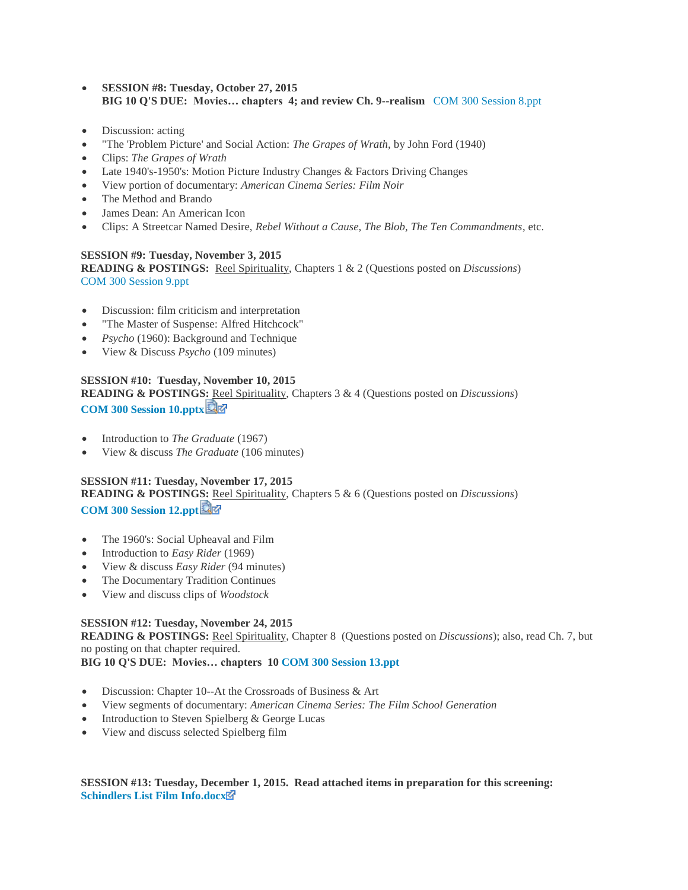- **SESSION #8: Tuesday, October 27, 2015 BIG 10 Q'S DUE: Movies… chapters 4; and review Ch. 9--realism** [COM 300 Session 8.ppt](https://canvas.pointloma.edu/courses/25277/files/530109/download?wrap=1)
- Discussion: acting
- "The 'Problem Picture' and Social Action: *The Grapes of Wrath,* by John Ford (1940)
- Clips: *The Grapes of Wrath*
- Late 1940's-1950's: Motion Picture Industry Changes & Factors Driving Changes
- View portion of documentary: *American Cinema Series: Film Noir*
- The Method and Brando
- James Dean: An American Icon
- Clips: A Streetcar Named Desire, *Rebel Without a Cause, The Blob, The Ten Commandments*, etc.

#### **SESSION #9: Tuesday, November 3, 2015**

**READING & POSTINGS:** Reel Spirituality, Chapters 1 & 2 (Questions posted on *Discussions*) [COM 300 Session 9.ppt](https://canvas.pointloma.edu/courses/25277/files/530127/download?wrap=1)

- Discussion: film criticism and interpretation
- "The Master of Suspense: Alfred Hitchcock"
- *Psycho* (1960): Background and Technique
- View & Discuss *Psycho* (109 minutes)

#### **SESSION #10: Tuesday, November 10, 2015**

**READING & POSTINGS:** Reel Spirituality, Chapters 3 & 4 (Questions posted on *Discussions*) **[COM 300 Session 10.pptx](https://canvas.pointloma.edu/courses/25277/files/530128/download?wrap=1)**

- Introduction to *The Graduate* (1967)
- View & discuss *The Graduate* (106 minutes)

# **SESSION #11: Tuesday, November 17, 2015**

**READING & POSTINGS:** Reel Spirituality, Chapters 5 & 6 (Questions posted on *Discussions*) **[COM 300 Session 12.ppt](https://canvas.pointloma.edu/courses/25277/files/530106/download?wrap=1)**

- The 1960's: Social Upheaval and Film
- Introduction to *Easy Rider* (1969)
- View & discuss *Easy Rider* (94 minutes)
- The Documentary Tradition Continues
- View and discuss clips of *Woodstock*

# **SESSION #12: Tuesday, November 24, 2015**

**READING & POSTINGS:** Reel Spirituality, Chapter 8 (Questions posted on *Discussions*); also, read Ch. 7, but no posting on that chapter required.

**BIG 10 Q'S DUE: Movies… chapters 1[0 COM 300 Session 13.ppt](https://canvas.pointloma.edu/courses/25277/files/530105/download?wrap=1)**

- Discussion: Chapter 10--At the Crossroads of Business & Art
- View segments of documentary: *American Cinema Series: The Film School Generation*
- Introduction to Steven Spielberg & George Lucas
- View and discuss selected Spielberg film

**SESSION #13: Tuesday, December 1, 2015. Read attached items in preparation for this screening: [Schindlers List Film Info.docx](https://canvas.pointloma.edu/courses/25277/files/530122/download?wrap=1)**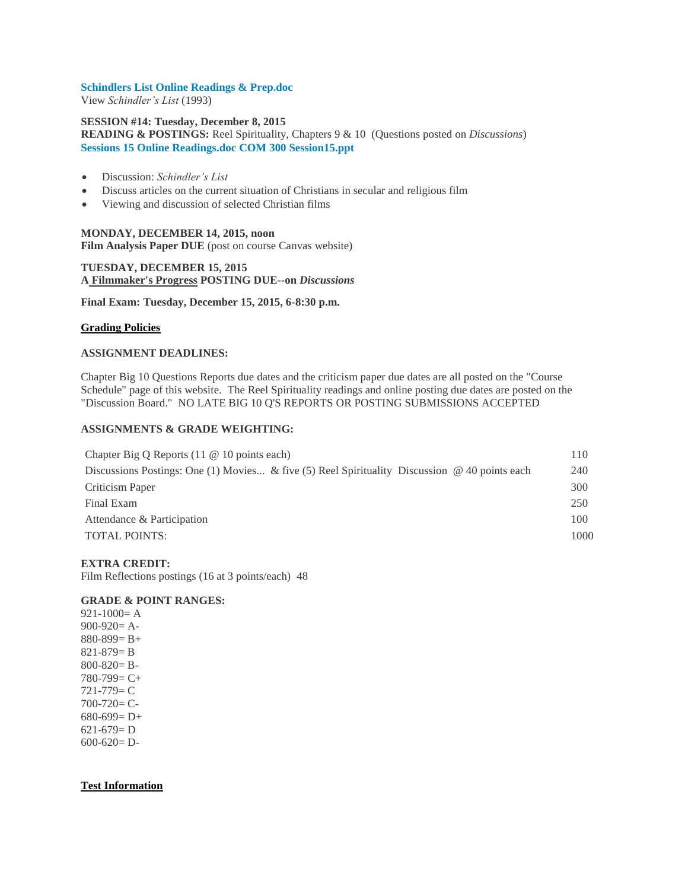#### **[Schindlers List Online Readings & Prep.doc](https://canvas.pointloma.edu/courses/25277/files/530121/download?wrap=1)**

View *Schindler's List* (1993)

## **SESSION #14: Tuesday, December 8, 2015 READING & POSTINGS:** Reel Spirituality, Chapters 9 & 10 (Questions posted on *Discussions*) **[Sessions 15 Online Readings.doc](https://canvas.pointloma.edu/courses/25277/files/530130/download?wrap=1) [COM 300 Session15.ppt](https://canvas.pointloma.edu/courses/25277/files/530129/download?wrap=1)**

- Discussion: *Schindler's List*
- Discuss articles on the current situation of Christians in secular and religious film
- Viewing and discussion of selected Christian films

# **MONDAY, DECEMBER 14, 2015, noon Film Analysis Paper DUE** (post on course Canvas website)

# **TUESDAY, DECEMBER 15, 2015 A Filmmaker's Progress POSTING DUE--on** *Discussions*

**Final Exam: Tuesday, December 15, 2015, 6-8:30 p.m.**

#### **Grading Policies**

#### **ASSIGNMENT DEADLINES:**

Chapter Big 10 Questions Reports due dates and the criticism paper due dates are all posted on the "Course Schedule" page of this website. The Reel Spirituality readings and online posting due dates are posted on the "Discussion Board." NO LATE BIG 10 Q'S REPORTS OR POSTING SUBMISSIONS ACCEPTED

#### **ASSIGNMENTS & GRADE WEIGHTING:**

| Chapter Big Q Reports $(11 \tQ 10 \tpoints each)$                                                    | 110  |
|------------------------------------------------------------------------------------------------------|------|
| Discussions Postings: One (1) Movies & five (5) Reel Spirituality Discussion $\omega$ 40 points each | 240  |
| Criticism Paper                                                                                      | 300  |
| Final Exam                                                                                           | 250  |
| Attendance & Participation                                                                           | 100  |
| <b>TOTAL POINTS:</b>                                                                                 | 1000 |
|                                                                                                      |      |

#### **EXTRA CREDIT:**

Film Reflections postings (16 at 3 points/each) 48

# **GRADE & POINT RANGES:**

 $921-1000=$ A 900-920= A-880-899= B+ 821-879= B  $800 - 820 = B -$ 780-799= C+ 721-779= C 700-720= C- $680-699= D+$ 621-679= D 600-620= D-

#### **Test Information**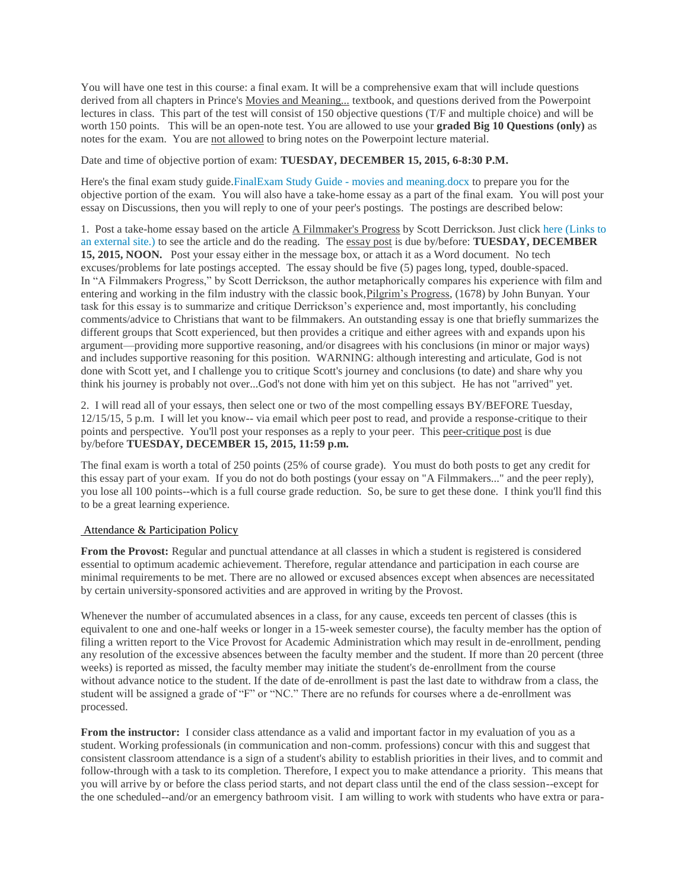You will have one test in this course: a final exam. It will be a comprehensive exam that will include questions derived from all chapters in Prince's Movies and Meaning... textbook, and questions derived from the Powerpoint lectures in class. This part of the test will consist of 150 objective questions (T/F and multiple choice) and will be worth 150 points. This will be an open-note test. You are allowed to use your **graded Big 10 Questions (only)** as notes for the exam. You are not allowed to bring notes on the Powerpoint lecture material.

Date and time of objective portion of exam: **TUESDAY, DECEMBER 15, 2015, 6-8:30 P.M.**

Here's the final exam study guide[.FinalExam Study Guide -](https://canvas.pointloma.edu/courses/25277/files/530113/preview) movies and meaning.docx to prepare you for the objective portion of the exam. You will also have a take-home essay as a part of the final exam. You will post your essay on Discussions, then you will reply to one of your peer's postings. The postings are described below:

1. Post a take-home essay based on the article A Filmmaker's Progress by Scott Derrickson. Just click here [\(Links](http://www.youthworker.com/youth-ministry-resources-ideas/youth-ministry/11552612/) to an [external](http://www.youthworker.com/youth-ministry-resources-ideas/youth-ministry/11552612/) site.) to see the article and do the reading. The essay post is due by/before: **TUESDAY, DECEMBER 15, 2015, NOON.** Post your essay either in the message box, or attach it as a Word document. No tech excuses/problems for late postings accepted. The essay should be five (5) pages long, typed, double-spaced. In "A Filmmakers Progress," by Scott Derrickson, the author metaphorically compares his experience with film and entering and working in the film industry with the classic book,Pilgrim's Progress, (1678) by John Bunyan. Your task for this essay is to summarize and critique Derrickson's experience and, most importantly, his concluding comments/advice to Christians that want to be filmmakers. An outstanding essay is one that briefly summarizes the different groups that Scott experienced, but then provides a critique and either agrees with and expands upon his argument—providing more supportive reasoning, and/or disagrees with his conclusions (in minor or major ways) and includes supportive reasoning for this position. WARNING: although interesting and articulate, God is not done with Scott yet, and I challenge you to critique Scott's journey and conclusions (to date) and share why you think his journey is probably not over...God's not done with him yet on this subject. He has not "arrived" yet.

2. I will read all of your essays, then select one or two of the most compelling essays BY/BEFORE Tuesday, 12/15/15, 5 p.m. I will let you know-- via email which peer post to read, and provide a response-critique to their points and perspective. You'll post your responses as a reply to your peer. This peer-critique post is due by/before **TUESDAY, DECEMBER 15, 2015, 11:59 p.m.**

The final exam is worth a total of 250 points (25% of course grade). You must do both posts to get any credit for this essay part of your exam. If you do not do both postings (your essay on "A Filmmakers..." and the peer reply), you lose all 100 points--which is a full course grade reduction. So, be sure to get these done. I think you'll find this to be a great learning experience.

#### Attendance & Participation Policy

**From the Provost:** Regular and punctual attendance at all classes in which a student is registered is considered essential to optimum academic achievement. Therefore, regular attendance and participation in each course are minimal requirements to be met. There are no allowed or excused absences except when absences are necessitated by certain university-sponsored activities and are approved in writing by the Provost.

Whenever the number of accumulated absences in a class, for any cause, exceeds ten percent of classes (this is equivalent to one and one-half weeks or longer in a 15-week semester course), the faculty member has the option of filing a written report to the Vice Provost for Academic Administration which may result in de-enrollment, pending any resolution of the excessive absences between the faculty member and the student. If more than 20 percent (three weeks) is reported as missed, the faculty member may initiate the student's de-enrollment from the course without advance notice to the student. If the date of de-enrollment is past the last date to withdraw from a class, the student will be assigned a grade of "F" or "NC." There are no refunds for courses where a de-enrollment was processed.

**From the instructor:** I consider class attendance as a valid and important factor in my evaluation of you as a student. Working professionals (in communication and non-comm. professions) concur with this and suggest that consistent classroom attendance is a sign of a student's ability to establish priorities in their lives, and to commit and follow-through with a task to its completion. Therefore, I expect you to make attendance a priority. This means that you will arrive by or before the class period starts, and not depart class until the end of the class session--except for the one scheduled--and/or an emergency bathroom visit. I am willing to work with students who have extra or para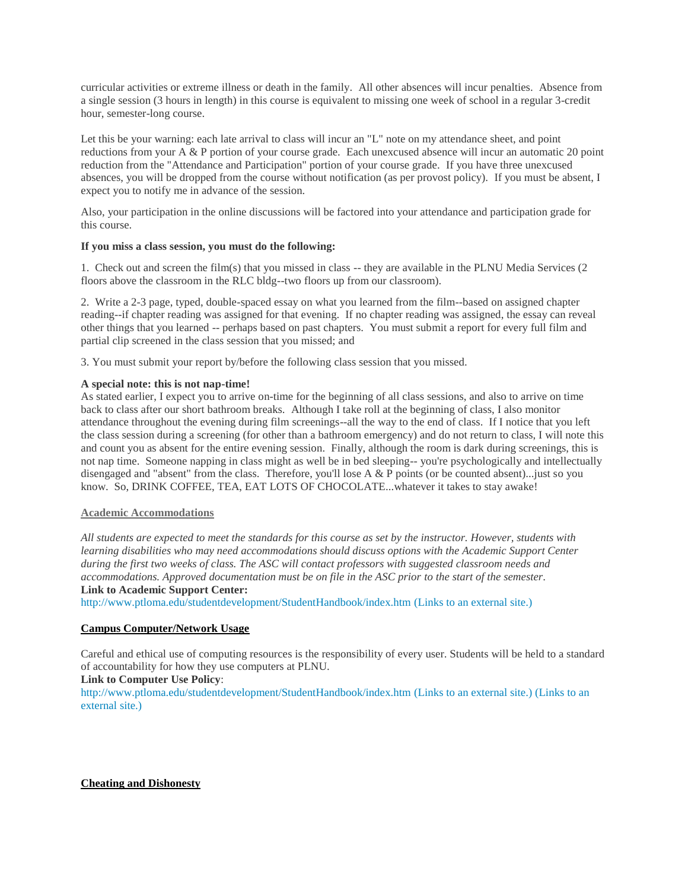curricular activities or extreme illness or death in the family. All other absences will incur penalties. Absence from a single session (3 hours in length) in this course is equivalent to missing one week of school in a regular 3-credit hour, semester-long course.

Let this be your warning: each late arrival to class will incur an "L" note on my attendance sheet, and point reductions from your A & P portion of your course grade. Each unexcused absence will incur an automatic 20 point reduction from the "Attendance and Participation" portion of your course grade. If you have three unexcused absences, you will be dropped from the course without notification (as per provost policy). If you must be absent, I expect you to notify me in advance of the session.

Also, your participation in the online discussions will be factored into your attendance and participation grade for this course.

### **If you miss a class session, you must do the following:**

1. Check out and screen the film(s) that you missed in class -- they are available in the PLNU Media Services (2 floors above the classroom in the RLC bldg--two floors up from our classroom).

2. Write a 2-3 page, typed, double-spaced essay on what you learned from the film--based on assigned chapter reading--if chapter reading was assigned for that evening. If no chapter reading was assigned, the essay can reveal other things that you learned -- perhaps based on past chapters. You must submit a report for every full film and partial clip screened in the class session that you missed; and

3. You must submit your report by/before the following class session that you missed.

#### **A special note: this is not nap-time!**

As stated earlier, I expect you to arrive on-time for the beginning of all class sessions, and also to arrive on time back to class after our short bathroom breaks. Although I take roll at the beginning of class, I also monitor attendance throughout the evening during film screenings--all the way to the end of class. If I notice that you left the class session during a screening (for other than a bathroom emergency) and do not return to class, I will note this and count you as absent for the entire evening session. Finally, although the room is dark during screenings, this is not nap time. Someone napping in class might as well be in bed sleeping-- you're psychologically and intellectually disengaged and "absent" from the class. Therefore, you'll lose A & P points (or be counted absent)...just so you know. So, DRINK COFFEE, TEA, EAT LOTS OF CHOCOLATE...whatever it takes to stay awake!

# **Academic Accommodations**

*All students are expected to meet the standards for this course as set by the instructor. However, students with learning disabilities who may need accommodations should discuss options with the Academic Support Center during the first two weeks of class. The ASC will contact professors with suggested classroom needs and accommodations. Approved documentation must be on file in the ASC prior to the start of the semester*. **Link to Academic Support Center:**

<http://www.ptloma.edu/studentdevelopment/StudentHandbook/index.htm> (Links to an external site.)

# **Campus Computer/Network Usage**

Careful and ethical use of computing resources is the responsibility of every user. Students will be held to a standard of accountability for how they use computers at PLNU.

#### **Link to Computer Use Policy**:

<http://www.ptloma.edu/studentdevelopment/StudentHandbook/index.htm> (Links to an external site.) [\(Links](http://www.ptloma.edu/studentdevelopment/StudentHandbook/index.htm) to an [external](http://www.ptloma.edu/studentdevelopment/StudentHandbook.pdf) site.)

# **Cheating and Dishonesty**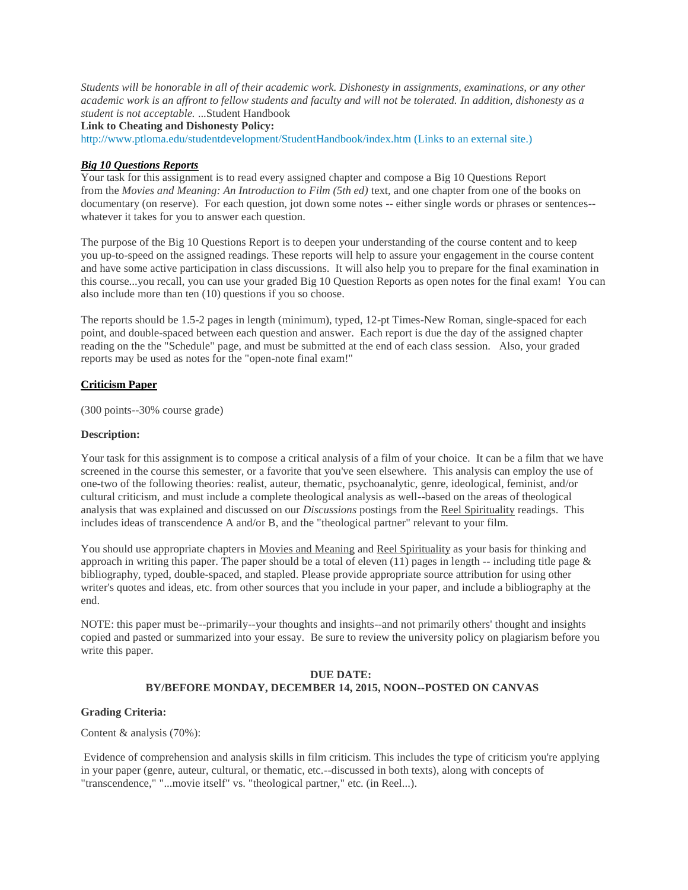*Students will be honorable in all of their academic work. Dishonesty in assignments, examinations, or any other academic work is an affront to fellow students and faculty and will not be tolerated. In addition, dishonesty as a student is not acceptable.* ...Student Handbook

**Link to Cheating and Dishonesty Policy:**

<http://www.ptloma.edu/studentdevelopment/StudentHandbook/index.htm> (Links to an external site.)

#### *Big 10 Questions Reports*

Your task for this assignment is to read every assigned chapter and compose a Big 10 Questions Report from the *Movies and Meaning: An Introduction to Film (5th ed)* text, and one chapter from one of the books on documentary (on reserve). For each question, jot down some notes -- either single words or phrases or sentences- whatever it takes for you to answer each question.

The purpose of the Big 10 Questions Report is to deepen your understanding of the course content and to keep you up-to-speed on the assigned readings. These reports will help to assure your engagement in the course content and have some active participation in class discussions. It will also help you to prepare for the final examination in this course...you recall, you can use your graded Big 10 Question Reports as open notes for the final exam! You can also include more than ten (10) questions if you so choose.

The reports should be 1.5-2 pages in length (minimum), typed, 12-pt Times-New Roman, single-spaced for each point, and double-spaced between each question and answer. Each report is due the day of the assigned chapter reading on the the "Schedule" page, and must be submitted at the end of each class session. Also, your graded reports may be used as notes for the "open-note final exam!"

#### **Criticism Paper**

(300 points--30% course grade)

#### **Description:**

Your task for this assignment is to compose a critical analysis of a film of your choice. It can be a film that we have screened in the course this semester, or a favorite that you've seen elsewhere. This analysis can employ the use of one-two of the following theories: realist, auteur, thematic, psychoanalytic, genre, ideological, feminist, and/or cultural criticism, and must include a complete theological analysis as well--based on the areas of theological analysis that was explained and discussed on our *Discussions* postings from the Reel Spirituality readings. This includes ideas of transcendence A and/or B, and the "theological partner" relevant to your film.

You should use appropriate chapters in Movies and Meaning and Reel Spirituality as your basis for thinking and approach in writing this paper. The paper should be a total of eleven (11) pages in length -- including title page & bibliography, typed, double-spaced, and stapled. Please provide appropriate source attribution for using other writer's quotes and ideas, etc. from other sources that you include in your paper, and include a bibliography at the end.

NOTE: this paper must be--primarily--your thoughts and insights--and not primarily others' thought and insights copied and pasted or summarized into your essay. Be sure to review the university policy on plagiarism before you write this paper.

# **DUE DATE: BY/BEFORE MONDAY, DECEMBER 14, 2015, NOON--POSTED ON CANVAS**

#### **Grading Criteria:**

Content & analysis (70%):

Evidence of comprehension and analysis skills in film criticism. This includes the type of criticism you're applying in your paper (genre, auteur, cultural, or thematic, etc.--discussed in both texts), along with concepts of "transcendence," "...movie itself" vs. "theological partner," etc. (in Reel...).